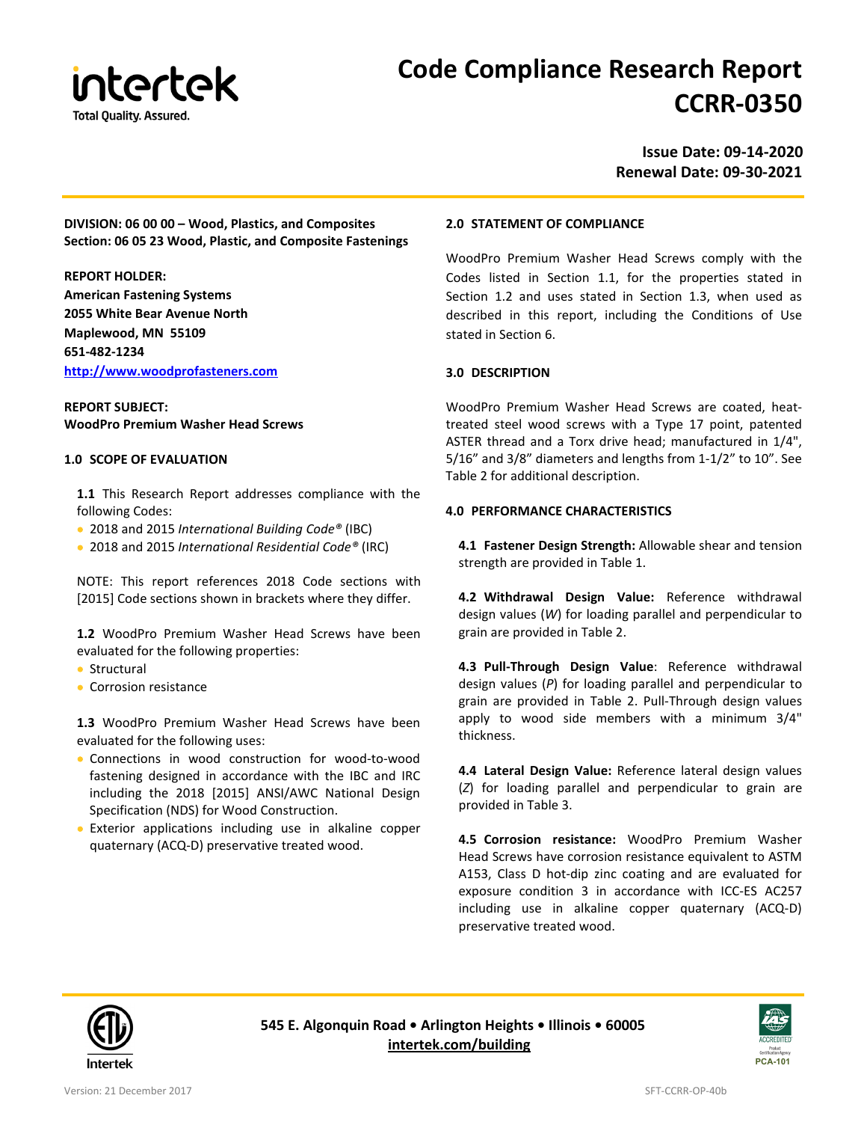

# **Code Compliance Research Report CCRR-0350**

**Issue Date: 09-14-2020 Renewal Date: 09-30-2021**

**DIVISION: 06 00 00 – Wood, Plastics, and Composites Section: 06 05 23 Wood, Plastic, and Composite Fastenings**

## **REPORT HOLDER:**

**American Fastening Systems 2055 White Bear Avenue North Maplewood, MN 55109 651-482-1234 [http://www.woodprofasteners.com](http://www.woodprofasteners.com/)**

# **REPORT SUBJECT: WoodPro Premium Washer Head Screws**

## **1.0 SCOPE OF EVALUATION**

**1.1** This Research Report addresses compliance with the following Codes:

- 2018 and 2015 *International Building Code®* (IBC)
- 2018 and 2015 *International Residential Code®* (IRC)

NOTE: This report references 2018 Code sections with [2015] Code sections shown in brackets where they differ.

**1.2** WoodPro Premium Washer Head Screws have been evaluated for the following properties:

- Structural
- Corrosion resistance

**1.3** WoodPro Premium Washer Head Screws have been evaluated for the following uses:

- Connections in wood construction for wood-to-wood fastening designed in accordance with the IBC and IRC including the 2018 [2015] ANSI/AWC National Design Specification (NDS) for Wood Construction.
- Exterior applications including use in alkaline copper quaternary (ACQ-D) preservative treated wood.

## **2.0 STATEMENT OF COMPLIANCE**

WoodPro Premium Washer Head Screws comply with the Codes listed in Section 1.1, for the properties stated in Section 1.2 and uses stated in Section 1.3, when used as described in this report, including the Conditions of Use stated in Section 6.

## **3.0 DESCRIPTION**

WoodPro Premium Washer Head Screws are coated, heattreated steel wood screws with a Type 17 point, patented ASTER thread and a Torx drive head; manufactured in 1/4", 5/16" and 3/8" diameters and lengths from 1-1/2" to 10". See Table 2 for additional description.

### **4.0 PERFORMANCE CHARACTERISTICS**

**4.1 Fastener Design Strength:** Allowable shear and tension strength are provided in Table 1.

**4.2 Withdrawal Design Value:** Reference withdrawal design values (*W*) for loading parallel and perpendicular to grain are provided in Table 2.

**4.3 Pull-Through Design Value**: Reference withdrawal design values (*P*) for loading parallel and perpendicular to grain are provided in Table 2. Pull-Through design values apply to wood side members with a minimum 3/4" thickness.

**4.4 Lateral Design Value:** Reference lateral design values (*Z*) for loading parallel and perpendicular to grain are provided in Table 3.

**4.5 Corrosion resistance:** WoodPro Premium Washer Head Screws have corrosion resistance equivalent to ASTM A153, Class D hot-dip zinc coating and are evaluated for exposure condition 3 in accordance with ICC-ES AC257 including use in alkaline copper quaternary (ACQ-D) preservative treated wood.



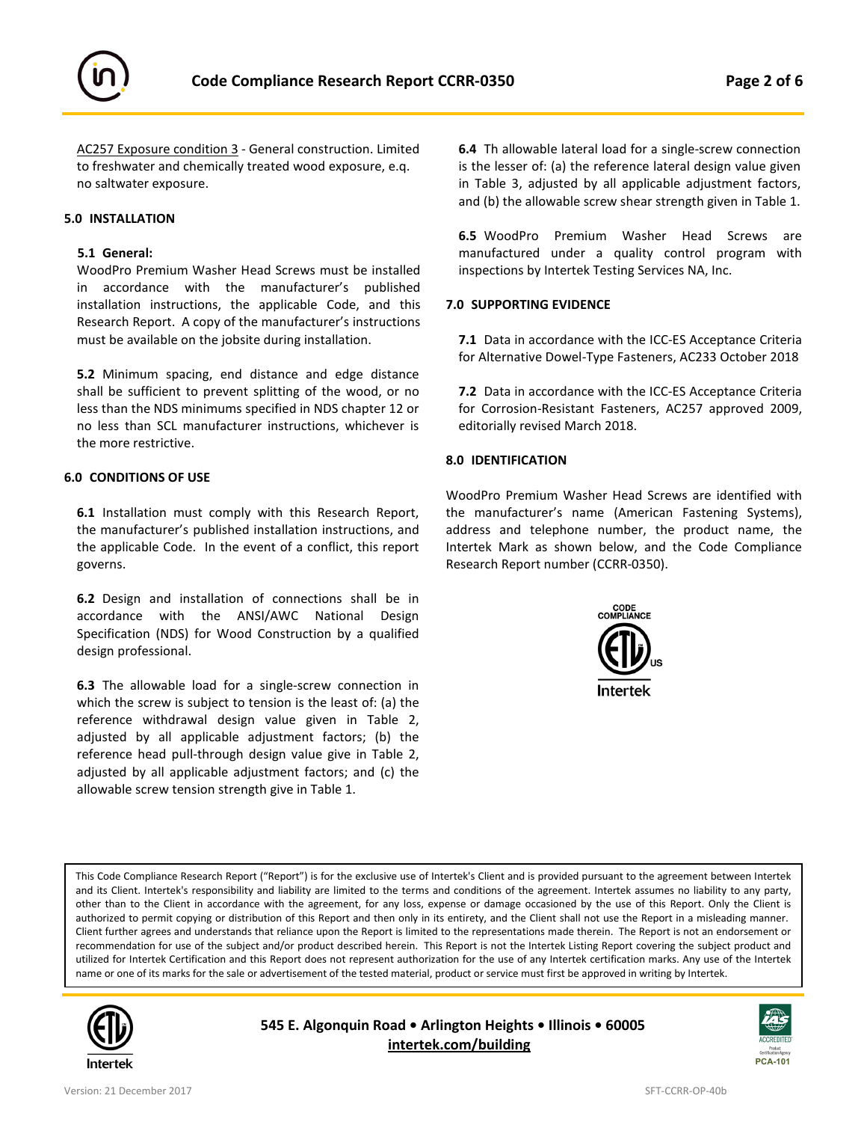

AC257 Exposure condition 3 - General construction. Limited to freshwater and chemically treated wood exposure, e.q. no saltwater exposure.

# **5.0 INSTALLATION**

# **5.1 General:**

WoodPro Premium Washer Head Screws must be installed in accordance with the manufacturer's published installation instructions, the applicable Code, and this Research Report. A copy of the manufacturer's instructions must be available on the jobsite during installation.

**5.2** Minimum spacing, end distance and edge distance shall be sufficient to prevent splitting of the wood, or no less than the NDS minimums specified in NDS chapter 12 or no less than SCL manufacturer instructions, whichever is the more restrictive.

### **6.0 CONDITIONS OF USE**

**6.1** Installation must comply with this Research Report, the manufacturer's published installation instructions, and the applicable Code. In the event of a conflict, this report governs.

**6.2** Design and installation of connections shall be in accordance with the ANSI/AWC National Design Specification (NDS) for Wood Construction by a qualified design professional.

**6.3** The allowable load for a single-screw connection in which the screw is subject to tension is the least of: (a) the reference withdrawal design value given in Table 2, adjusted by all applicable adjustment factors; (b) the reference head pull-through design value give in Table 2, adjusted by all applicable adjustment factors; and (c) the allowable screw tension strength give in Table 1.

**6.4** Th allowable lateral load for a single-screw connection is the lesser of: (a) the reference lateral design value given in Table 3, adjusted by all applicable adjustment factors, and (b) the allowable screw shear strength given in Table 1.

**6.5** WoodPro Premium Washer Head Screws are manufactured under a quality control program with inspections by Intertek Testing Services NA, Inc.

## **7.0 SUPPORTING EVIDENCE**

**7.1** Data in accordance with the ICC-ES Acceptance Criteria for Alternative Dowel-Type Fasteners, AC233 October 2018

**7.2** Data in accordance with the ICC-ES Acceptance Criteria for Corrosion-Resistant Fasteners, AC257 approved 2009, editorially revised March 2018.

## **8.0 IDENTIFICATION**

WoodPro Premium Washer Head Screws are identified with the manufacturer's name (American Fastening Systems), address and telephone number, the product name, the Intertek Mark as shown below, and the Code Compliance Research Report number (CCRR-0350).



This Code Compliance Research Report ("Report") is for the exclusive use of Intertek's Client and is provided pursuant to the agreement between Intertek and its Client. Intertek's responsibility and liability are limited to the terms and conditions of the agreement. Intertek assumes no liability to any party, other than to the Client in accordance with the agreement, for any loss, expense or damage occasioned by the use of this Report. Only the Client is authorized to permit copying or distribution of this Report and then only in its entirety, and the Client shall not use the Report in a misleading manner. Client further agrees and understands that reliance upon the Report is limited to the representations made therein. The Report is not an endorsement or recommendation for use of the subject and/or product described herein. This Report is not the Intertek Listing Report covering the subject product and utilized for Intertek Certification and this Report does not represent authorization for the use of any Intertek certification marks. Any use of the Intertek name or one of its marks for the sale or advertisement of the tested material, product or service must first be approved in writing by Intertek.



**545 E. Algonquin Road • Arlington Heights • Illinois • 60005 [intertek.com/building](http://www.intertek.com/building/)**

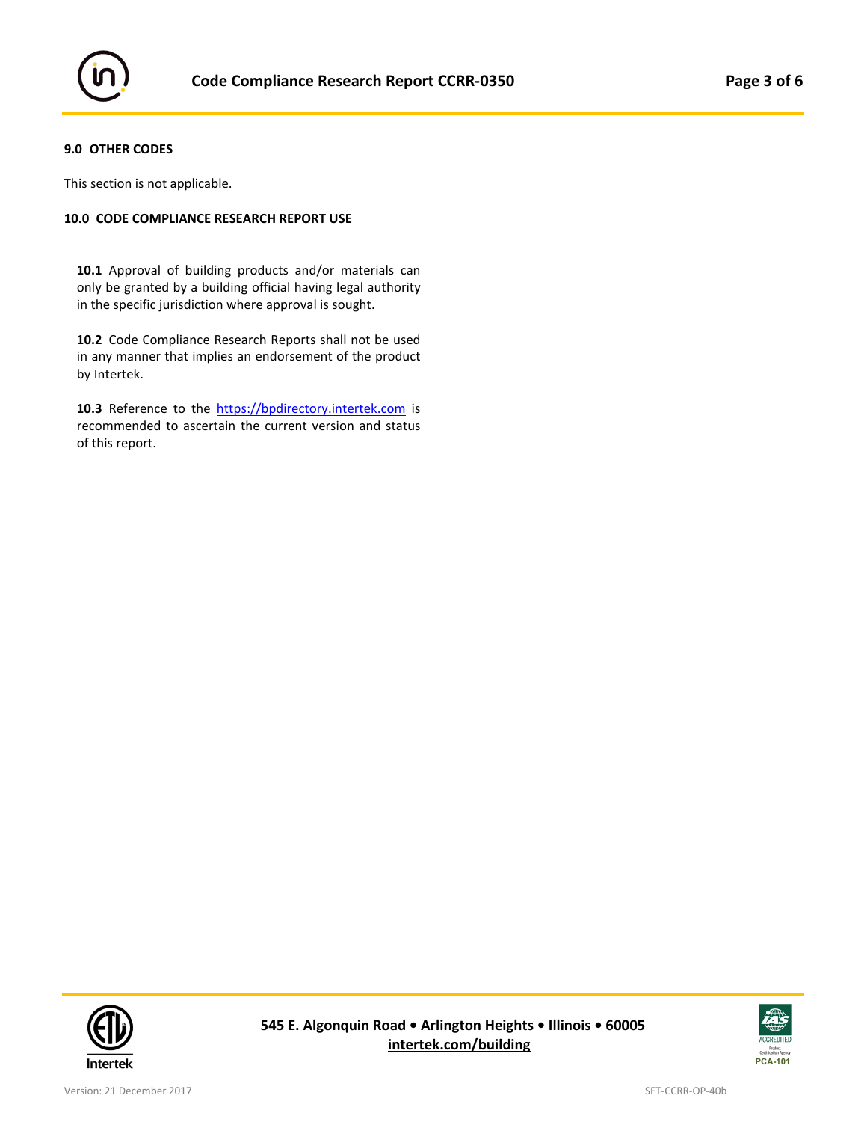

# **9.0 OTHER CODES**

This section is not applicable.

# **10.0 CODE COMPLIANCE RESEARCH REPORT USE**

**10.1** Approval of building products and/or materials can only be granted by a building official having legal authority in the specific jurisdiction where approval is sought.

**10.2** Code Compliance Research Reports shall not be used in any manner that implies an endorsement of the product by Intertek.

10.3 Reference to the [https://bpdirectory.intertek.com](https://whdirectory.intertek.com/Pages/DLP_Search.aspx) is recommended to ascertain the current version and status of this report.



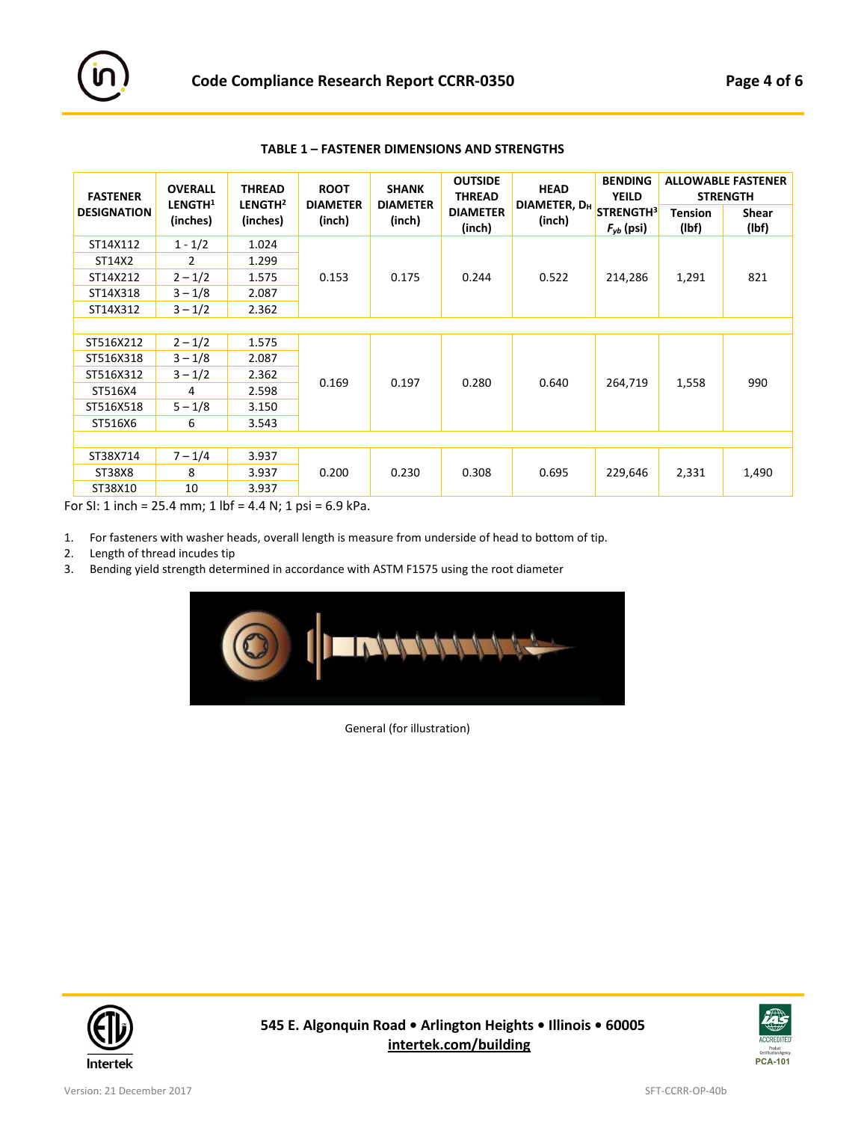

| <b>FASTENER</b><br><b>DESIGNATION</b> | <b>OVERALL</b><br>LENGTH <sup>1</sup><br>(inches) | <b>THREAD</b><br>LENGTH <sup>2</sup><br>(inches) | <b>ROOT</b><br><b>DIAMETER</b><br>(inch) | <b>SHANK</b><br><b>DIAMETER</b><br>(inch) | <b>OUTSIDE</b><br><b>THREAD</b><br><b>DIAMETER</b><br>(inch) | <b>HEAD</b><br>DIAMETER, D <sub>H</sub><br>(inch) | <b>BENDING</b><br><b>YEILD</b>          | <b>ALLOWABLE FASTENER</b><br><b>STRENGTH</b> |                |
|---------------------------------------|---------------------------------------------------|--------------------------------------------------|------------------------------------------|-------------------------------------------|--------------------------------------------------------------|---------------------------------------------------|-----------------------------------------|----------------------------------------------|----------------|
|                                       |                                                   |                                                  |                                          |                                           |                                                              |                                                   | STRENGTH <sup>3</sup><br>$F_{yb}$ (psi) | <b>Tension</b><br>(lbf)                      | Shear<br>(lbf) |
| ST14X112                              | $1 - 1/2$                                         | 1.024                                            | 0.153                                    | 0.175                                     | 0.244                                                        | 0.522                                             | 214,286                                 | 1,291                                        | 821            |
| ST14X2                                | $\overline{2}$                                    | 1.299                                            |                                          |                                           |                                                              |                                                   |                                         |                                              |                |
| ST14X212                              | $2 - 1/2$                                         | 1.575                                            |                                          |                                           |                                                              |                                                   |                                         |                                              |                |
| ST14X318                              | $3 - 1/8$                                         | 2.087                                            |                                          |                                           |                                                              |                                                   |                                         |                                              |                |
| ST14X312                              | $3 - 1/2$                                         | 2.362                                            |                                          |                                           |                                                              |                                                   |                                         |                                              |                |
|                                       |                                                   |                                                  |                                          |                                           |                                                              |                                                   |                                         |                                              |                |
| ST516X212                             | $2 - 1/2$                                         | 1.575                                            |                                          | 0.197                                     | 0.280                                                        | 0.640                                             | 264,719                                 | 1,558                                        | 990            |
| ST516X318                             | $3 - 1/8$                                         | 2.087                                            | 0.169                                    |                                           |                                                              |                                                   |                                         |                                              |                |
| ST516X312                             | $3 - 1/2$                                         | 2.362                                            |                                          |                                           |                                                              |                                                   |                                         |                                              |                |
| ST516X4                               | 4                                                 | 2.598                                            |                                          |                                           |                                                              |                                                   |                                         |                                              |                |
| ST516X518                             | $5 - 1/8$                                         | 3.150                                            |                                          |                                           |                                                              |                                                   |                                         |                                              |                |
| ST516X6                               | 6                                                 | 3.543                                            |                                          |                                           |                                                              |                                                   |                                         |                                              |                |
|                                       |                                                   |                                                  |                                          |                                           |                                                              |                                                   |                                         |                                              |                |
| ST38X714                              | $7 - 1/4$                                         | 3.937                                            | 0.200                                    | 0.230                                     | 0.308                                                        | 0.695                                             | 229,646                                 | 2,331                                        | 1,490          |
| ST38X8                                | 8                                                 | 3.937                                            |                                          |                                           |                                                              |                                                   |                                         |                                              |                |
| ST38X10                               | 10                                                | 3.937                                            |                                          |                                           |                                                              |                                                   |                                         |                                              |                |

**TABLE 1 – FASTENER DIMENSIONS AND STRENGTHS**

For SI: 1 inch = 25.4 mm; 1 lbf = 4.4 N; 1 psi = 6.9 kPa.

1. For fasteners with washer heads, overall length is measure from underside of head to bottom of tip.

2. Length of thread incudes tip

3. Bending yield strength determined in accordance with ASTM F1575 using the root diameter



General (for illustration)



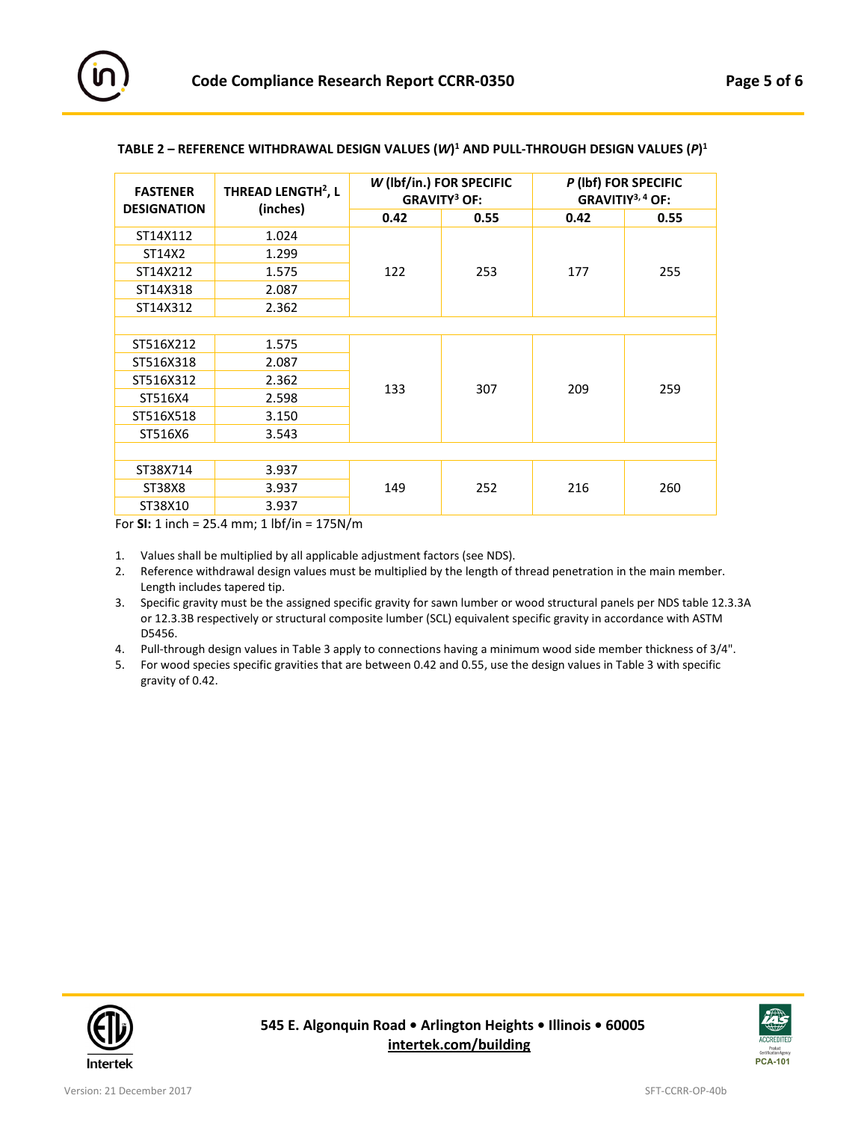

| <b>FASTENER</b><br><b>DESIGNATION</b> | THREAD LENGTH <sup>2</sup> , L |      | W (lbf/in.) FOR SPECIFIC<br><b>GRAVITY<sup>3</sup> OF:</b> | P (lbf) FOR SPECIFIC<br>GRAVITIY <sup>3, 4</sup> OF: |      |  |  |  |
|---------------------------------------|--------------------------------|------|------------------------------------------------------------|------------------------------------------------------|------|--|--|--|
|                                       | (inches)                       | 0.42 | 0.55                                                       | 0.42                                                 | 0.55 |  |  |  |
| ST14X112                              | 1.024                          |      | 253                                                        | 177                                                  |      |  |  |  |
| ST14X2                                | 1.299                          |      |                                                            |                                                      | 255  |  |  |  |
| ST14X212                              | 1.575                          | 122  |                                                            |                                                      |      |  |  |  |
| ST14X318                              | 2.087                          |      |                                                            |                                                      |      |  |  |  |
| ST14X312                              | 2.362                          |      |                                                            |                                                      |      |  |  |  |
|                                       |                                |      |                                                            |                                                      |      |  |  |  |
| ST516X212                             | 1.575                          |      | 307                                                        | 209                                                  | 259  |  |  |  |
| ST516X318                             | 2.087                          |      |                                                            |                                                      |      |  |  |  |
| ST516X312                             | 2.362                          | 133  |                                                            |                                                      |      |  |  |  |
| ST516X4                               | 2.598                          |      |                                                            |                                                      |      |  |  |  |
| ST516X518                             | 3.150                          |      |                                                            |                                                      |      |  |  |  |
| ST516X6                               | 3.543                          |      |                                                            |                                                      |      |  |  |  |
|                                       |                                |      |                                                            |                                                      |      |  |  |  |
| ST38X714                              | 3.937                          |      | 252                                                        | 216                                                  | 260  |  |  |  |
| ST38X8                                | 3.937                          | 149  |                                                            |                                                      |      |  |  |  |
| ST38X10                               | 3.937                          |      |                                                            |                                                      |      |  |  |  |

# **TABLE 2 – REFERENCE WITHDRAWAL DESIGN VALUES (***W***) <sup>1</sup> AND PULL-THROUGH DESIGN VALUES (***P***) 1**

For **SI:** 1 inch = 25.4 mm; 1 lbf/in = 175N/m

1. Values shall be multiplied by all applicable adjustment factors (see NDS).

- 2. Reference withdrawal design values must be multiplied by the length of thread penetration in the main member. Length includes tapered tip.
- 3. Specific gravity must be the assigned specific gravity for sawn lumber or wood structural panels per NDS table 12.3.3A or 12.3.3B respectively or structural composite lumber (SCL) equivalent specific gravity in accordance with ASTM D5456.
- 4. Pull-through design values in Table 3 apply to connections having a minimum wood side member thickness of 3/4".
- 5. For wood species specific gravities that are between 0.42 and 0.55, use the design values in Table 3 with specific gravity of 0.42.